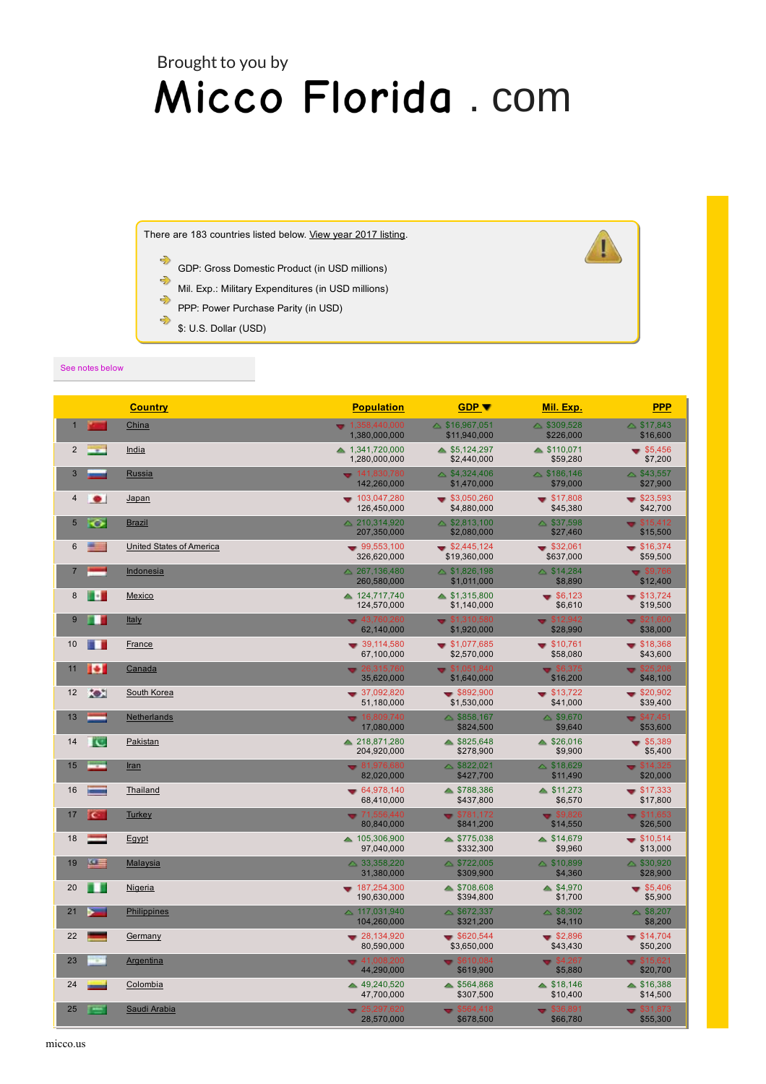## $\blacksquare$ Brought to you by are necessary to achieve the best experience possible on our website.  $\mathbf{A} \mathbf{A} \mathbf{A}$  $\blacksquare$ . [com](https://www.673285319930923205.com/)

There are 183 countries listed below. View year 2017 [listing.](https://web.archive.org/web/20191230163701/http://www.deagel.com/country/)

- ⊰ GDP: Gross Domestic Product (in USD millions)
- $\Rightarrow$ Mil. Exp.: Military Expenditures (in USD millions)
- ⊰ PPP: Power Purchase Parity (in USD)
- ⊰ \$: U.S. Dollar (USD)

## See notes below

|                            | <b>Country</b>           | <b>Population</b>                 | <b>GDP v</b>                             | Mil. Exp.                          | <b>PPP</b>                       |
|----------------------------|--------------------------|-----------------------------------|------------------------------------------|------------------------------------|----------------------------------|
| $\mathbf 1$                | China                    | $-1,358,440,000$<br>1,380,000,000 | $\triangle$ \$16,967,051<br>\$11,940,000 | $\triangle$ \$309,528<br>\$226,000 | \$17,843<br>\$16,600             |
| $\overline{2}$             | <u>India</u>             | ▲ 1,341,720,000<br>1.280.000.000  | $\triangle$ \$5,124,297<br>\$2,440,000   | $\triangle$ \$110,071<br>\$59,280  | $\bullet$ \$5,456<br>\$7,200     |
| 3                          | Russia                   | $-141,830,780$<br>142,260,000     | $\triangle$ \$4,324,406<br>\$1,470,000   | $\triangle$ \$186,146<br>\$79,000  | $\triangle$ \$43,557<br>\$27,900 |
| 4                          | <u>Japan</u>             | $-103,047,280$                    | \$3,050,260                              | \$17,808                           | $\bullet$ \$23,593               |
| $\bullet$                  |                          | 126,450,000                       | \$4,880,000                              | \$45,380                           | \$42,700                         |
| 5                          | <b>Brazil</b>            | △ 210,314,920                     | $\triangle$ \$2,813,100                  | $\triangle$ \$37,598               | $\bullet$ \$15,412               |
| ତ                          |                          | 207,350,000                       | \$2,080,000                              | \$27,460                           | \$15,500                         |
| <b>Contract</b>            | United States of America | $-99,553,100$                     | $\bullet$ \$2,445,124                    | $\bullet$ \$32,061                 | \$16,374                         |
| 6                          |                          | 326,620,000                       | \$19,360,000                             | \$637,000                          | \$59,500                         |
| $\overline{7}$             | <b>Indonesia</b>         | △ 267,136,480<br>260,580,000      | $\triangle$ \$1,826,198<br>\$1,011,000   | \$14,284<br>\$8,890                | \$9,766<br>\$12,400              |
| n.                         | Mexico                   | ▲ 124,717,740                     | $\triangle$ \$1,315,800                  | $\bullet$ \$6,123                  | $\bullet$ \$13,724               |
| 8                          |                          | 124,570,000                       | \$1,140,000                              | \$6,610                            | \$19,500                         |
| 9<br>ш<br><b>Italy</b>     |                          | $-43.760.260$<br>62,140,000       | \$1,310,580<br>\$1,920,000               | \$12.942<br>\$28,990               | \$21.600<br>\$38,000             |
| 10                         | <b>France</b>            | $-39,114,580$                     | $\bullet$ \$1,077,685                    | \$10,761                           | \$18,368                         |
| n an                       |                          | 67,100,000                        | \$2,570,000                              | \$58,080                           | \$43,600                         |
| $\bullet$                  | Canada                   | $-26,315,760$                     | \$1,051,840                              | \$6,375                            | \$25,208                         |
| 11                         |                          | 35,620,000                        | \$1,640,000                              | \$16,200                           | \$48,100                         |
| XЖ                         | South Korea              | $-37,092,820$                     | $\bullet$ \$892,900                      | $\bullet$ \$13,722                 | $\bullet$ \$20,902               |
| 12                         |                          | 51,180,000                        | \$1,530,000                              | \$41,000                           | \$39,400                         |
| 13                         | <b>Netherlands</b>       | $-16,809,740$<br>17,080,000       | $\triangle$ \$858,167<br>\$824,500       | \$9,670<br>\$9,640                 | $\sqrt{$47,451}$<br>\$53,600     |
| ľC                         | Pakistan                 | ▲ 218,871,280                     | \$825,648                                | \$26,016                           | \$5,389                          |
| 14                         |                          | 204,920,000                       | \$278,900                                | \$9,900                            | \$5,400                          |
| inc.m<br>15<br><b>Iran</b> |                          | $-81.976.680$<br>82,020,000       | $\triangle$ \$822,021<br>\$427,700       | $\triangle$ \$18,629<br>\$11,490   | \$14,325<br>\$20,000             |
| 16                         | Thailand                 | $-64.978.140$<br>68,410,000       | ▲ \$788.386<br>\$437,800                 | \$11.273<br>\$6,570                | \$17.333<br>\$17,800             |
| 17                         | Turkey                   | $-71.556.440$                     | \$781,172                                | \$9,826                            | $\div$ \$11,653                  |
| $\epsilon$                 |                          | 80,840,000                        | \$841,200                                | \$14,550                           | \$26,500                         |
| 18                         | Egypt                    | ▲ 105,306,900<br>97,040,000       | \$775,038<br>\$332,300                   | \$14,679<br>\$9,960                | \$10,514<br>\$13,000             |
| $\sim$                     | <b>Malaysia</b>          | $\triangle$ 33,358,220            | $\triangle$ \$722,005                    | $\triangle$ \$10,899               | $\triangle$ \$30,920             |
| 19                         |                          | 31,380,000                        | \$309,900                                | \$4,360                            | \$28,900                         |
| n n                        | <b>Nigeria</b>           | $-187,254,300$                    | $\triangle$ \$708,608                    | \$4,970                            | \$5,406                          |
| 20                         |                          | 190,630,000                       | \$394,800                                | \$1,700                            | \$5,900                          |
| 21                         | <b>Philippines</b>       | $\triangle$ 117,031,940           | $\triangle$ \$672,337                    | $\triangle$ \$8,302                | $\triangle$ \$8,207              |
| -                          |                          | 104,260,000                       | \$321,200                                | \$4,110                            | \$8,200                          |
| 22                         | Germany                  | $-28,134,920$<br>80,590,000       | \$620,544<br>\$3,650,000                 | \$2,896<br>\$43,430                | \$14,704<br>\$50,200             |
| 23                         | <b>Argentina</b>         | $-41,008,200$                     | \$610,084                                | \$4,267                            | \$15,621                         |
| T.                         |                          | 44.290.000                        | \$619,900                                | \$5,880                            | \$20,700                         |
| 24                         | Colombia                 | ▲ 49,240,520<br>47,700,000        | \$564,868<br>\$307,500                   | \$18,146<br>\$10,400               | $\triangle$ \$16,388<br>\$14,500 |
| 25                         | Saudi Arabia             | $= 25,297,620$                    | \$564.418                                | \$36,891                           | \$31,873                         |
| <u>rea</u>                 |                          | 28,570,000                        | \$678,500                                | \$66,780                           | \$55,300                         |